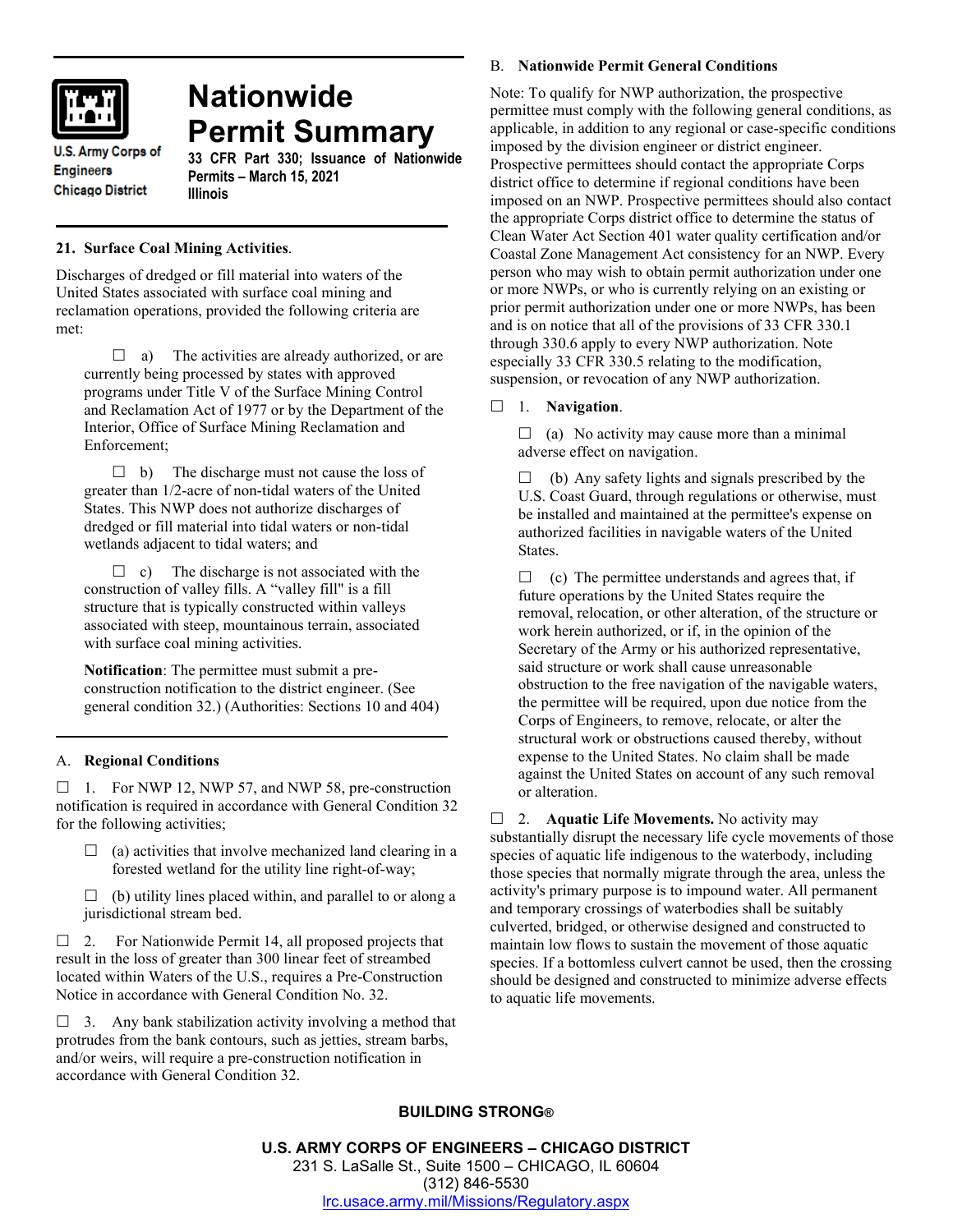

# **Nationwide Permit Summary**

**U.S. Army Corps of Engineers Chicago District** 

# **33 CFR Part 330; Issuance of Nationwide Permits – March 15, 2021 Illinois**

# **21. Surface Coal Mining Activities**.

Discharges of dredged or fill material into waters of the United States associated with surface coal mining and reclamation operations, provided the following criteria are met:

 $\Box$  a) The activities are already authorized, or are currently being processed by states with approved programs under Title V of the Surface Mining Control and Reclamation Act of 1977 or by the Department of the Interior, Office of Surface Mining Reclamation and Enforcement;

 $\Box$  b) The discharge must not cause the loss of greater than 1/2-acre of non-tidal waters of the United States. This NWP does not authorize discharges of dredged or fill material into tidal waters or non-tidal wetlands adjacent to tidal waters; and

 $\Box$  c) The discharge is not associated with the construction of valley fills. A "valley fill" is a fill structure that is typically constructed within valleys associated with steep, mountainous terrain, associated with surface coal mining activities.

**Notification**: The permittee must submit a preconstruction notification to the district engineer. (See general condition 32.) (Authorities: Sections 10 and 404)

# A. **Regional Conditions**

 $\Box$  1. For NWP 12, NWP 57, and NWP 58, pre-construction notification is required in accordance with General Condition 32 for the following activities;

 $\Box$  (a) activities that involve mechanized land clearing in a forested wetland for the utility line right-of-way;

 $\Box$  (b) utility lines placed within, and parallel to or along a jurisdictional stream bed.

 $\Box$  2. For Nationwide Permit 14, all proposed projects that result in the loss of greater than 300 linear feet of streambed located within Waters of the U.S., requires a Pre-Construction Notice in accordance with General Condition No. 32.

 $\Box$  3. Any bank stabilization activity involving a method that protrudes from the bank contours, such as jetties, stream barbs, and/or weirs, will require a pre-construction notification in accordance with General Condition 32.

## B. **Nationwide Permit General Conditions**

Note: To qualify for NWP authorization, the prospective permittee must comply with the following general conditions, as applicable, in addition to any regional or case-specific conditions imposed by the division engineer or district engineer. Prospective permittees should contact the appropriate Corps district office to determine if regional conditions have been imposed on an NWP. Prospective permittees should also contact the appropriate Corps district office to determine the status of Clean Water Act Section 401 water quality certification and/or Coastal Zone Management Act consistency for an NWP. Every person who may wish to obtain permit authorization under one or more NWPs, or who is currently relying on an existing or prior permit authorization under one or more NWPs, has been and is on notice that all of the provisions of 33 CFR 330.1 through 330.6 apply to every NWP authorization. Note especially 33 CFR 330.5 relating to the modification, suspension, or revocation of any NWP authorization.

## 1. **Navigation**.

 $\Box$  (a) No activity may cause more than a minimal adverse effect on navigation.

 $\Box$  (b) Any safety lights and signals prescribed by the U.S. Coast Guard, through regulations or otherwise, must be installed and maintained at the permittee's expense on authorized facilities in navigable waters of the United States.

 $\Box$  (c) The permittee understands and agrees that, if future operations by the United States require the removal, relocation, or other alteration, of the structure or work herein authorized, or if, in the opinion of the Secretary of the Army or his authorized representative, said structure or work shall cause unreasonable obstruction to the free navigation of the navigable waters, the permittee will be required, upon due notice from the Corps of Engineers, to remove, relocate, or alter the structural work or obstructions caused thereby, without expense to the United States. No claim shall be made against the United States on account of any such removal or alteration.

□ 2. **Aquatic Life Movements.** No activity may substantially disrupt the necessary life cycle movements of those species of aquatic life indigenous to the waterbody, including those species that normally migrate through the area, unless the activity's primary purpose is to impound water. All permanent and temporary crossings of waterbodies shall be suitably culverted, bridged, or otherwise designed and constructed to maintain low flows to sustain the movement of those aquatic species. If a bottomless culvert cannot be used, then the crossing should be designed and constructed to minimize adverse effects to aquatic life movements.

# **BUILDING STRONG®**

**U.S. ARMY CORPS OF ENGINEERS – CHICAGO DISTRICT** 231 S. LaSalle St., Suite 1500 – CHICAGO, IL 60604 (312) 846-5530 [lrc.usace.army.mil/Missions/Regulatory.aspx](https://www.lrc.usace.army.mil/Missions/Regulatory.aspx)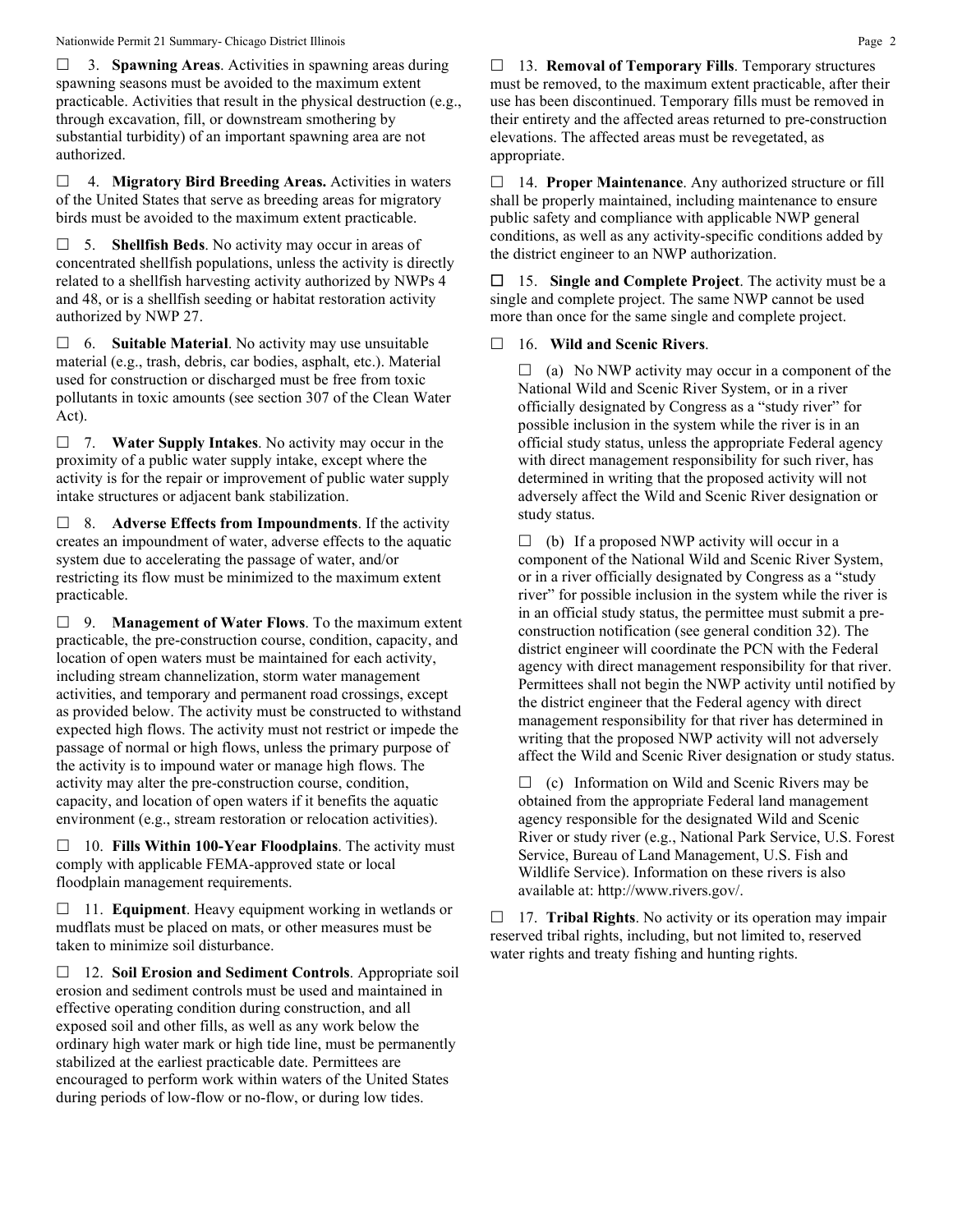3. **Spawning Areas**. Activities in spawning areas during spawning seasons must be avoided to the maximum extent practicable. Activities that result in the physical destruction (e.g., through excavation, fill, or downstream smothering by substantial turbidity) of an important spawning area are not authorized.

 4. **Migratory Bird Breeding Areas.** Activities in waters of the United States that serve as breeding areas for migratory birds must be avoided to the maximum extent practicable.

 5. **Shellfish Beds**. No activity may occur in areas of concentrated shellfish populations, unless the activity is directly related to a shellfish harvesting activity authorized by NWPs 4 and 48, or is a shellfish seeding or habitat restoration activity authorized by NWP 27.

 6. **Suitable Material**. No activity may use unsuitable material (e.g., trash, debris, car bodies, asphalt, etc.). Material used for construction or discharged must be free from toxic pollutants in toxic amounts (see section 307 of the Clean Water Act).

 7. **Water Supply Intakes**. No activity may occur in the proximity of a public water supply intake, except where the activity is for the repair or improvement of public water supply intake structures or adjacent bank stabilization.

 8. **Adverse Effects from Impoundments**. If the activity creates an impoundment of water, adverse effects to the aquatic system due to accelerating the passage of water, and/or restricting its flow must be minimized to the maximum extent practicable.

 9. **Management of Water Flows**. To the maximum extent practicable, the pre-construction course, condition, capacity, and location of open waters must be maintained for each activity, including stream channelization, storm water management activities, and temporary and permanent road crossings, except as provided below. The activity must be constructed to withstand expected high flows. The activity must not restrict or impede the passage of normal or high flows, unless the primary purpose of the activity is to impound water or manage high flows. The activity may alter the pre-construction course, condition, capacity, and location of open waters if it benefits the aquatic environment (e.g., stream restoration or relocation activities).

 10. **Fills Within 100-Year Floodplains**. The activity must comply with applicable FEMA-approved state or local floodplain management requirements.

□ 11. **Equipment**. Heavy equipment working in wetlands or mudflats must be placed on mats, or other measures must be taken to minimize soil disturbance.

 12. **Soil Erosion and Sediment Controls**. Appropriate soil erosion and sediment controls must be used and maintained in effective operating condition during construction, and all exposed soil and other fills, as well as any work below the ordinary high water mark or high tide line, must be permanently stabilized at the earliest practicable date. Permittees are encouraged to perform work within waters of the United States during periods of low-flow or no-flow, or during low tides.

 13. **Removal of Temporary Fills**. Temporary structures must be removed, to the maximum extent practicable, after their use has been discontinued. Temporary fills must be removed in their entirety and the affected areas returned to pre-construction elevations. The affected areas must be revegetated, as appropriate.

 14. **Proper Maintenance**. Any authorized structure or fill shall be properly maintained, including maintenance to ensure public safety and compliance with applicable NWP general conditions, as well as any activity-specific conditions added by the district engineer to an NWP authorization.

 15. **Single and Complete Project**. The activity must be a single and complete project. The same NWP cannot be used more than once for the same single and complete project.

## 16. **Wild and Scenic Rivers**.

 $\Box$  (a) No NWP activity may occur in a component of the National Wild and Scenic River System, or in a river officially designated by Congress as a "study river" for possible inclusion in the system while the river is in an official study status, unless the appropriate Federal agency with direct management responsibility for such river, has determined in writing that the proposed activity will not adversely affect the Wild and Scenic River designation or study status.

 $\Box$  (b) If a proposed NWP activity will occur in a component of the National Wild and Scenic River System, or in a river officially designated by Congress as a "study river" for possible inclusion in the system while the river is in an official study status, the permittee must submit a preconstruction notification (see general condition 32). The district engineer will coordinate the PCN with the Federal agency with direct management responsibility for that river. Permittees shall not begin the NWP activity until notified by the district engineer that the Federal agency with direct management responsibility for that river has determined in writing that the proposed NWP activity will not adversely affect the Wild and Scenic River designation or study status.

 $\Box$  (c) Information on Wild and Scenic Rivers may be obtained from the appropriate Federal land management agency responsible for the designated Wild and Scenic River or study river (e.g., National Park Service, U.S. Forest Service, Bureau of Land Management, U.S. Fish and Wildlife Service). Information on these rivers is also available at: http://www.rivers.gov/.

 17. **Tribal Rights**. No activity or its operation may impair reserved tribal rights, including, but not limited to, reserved water rights and treaty fishing and hunting rights.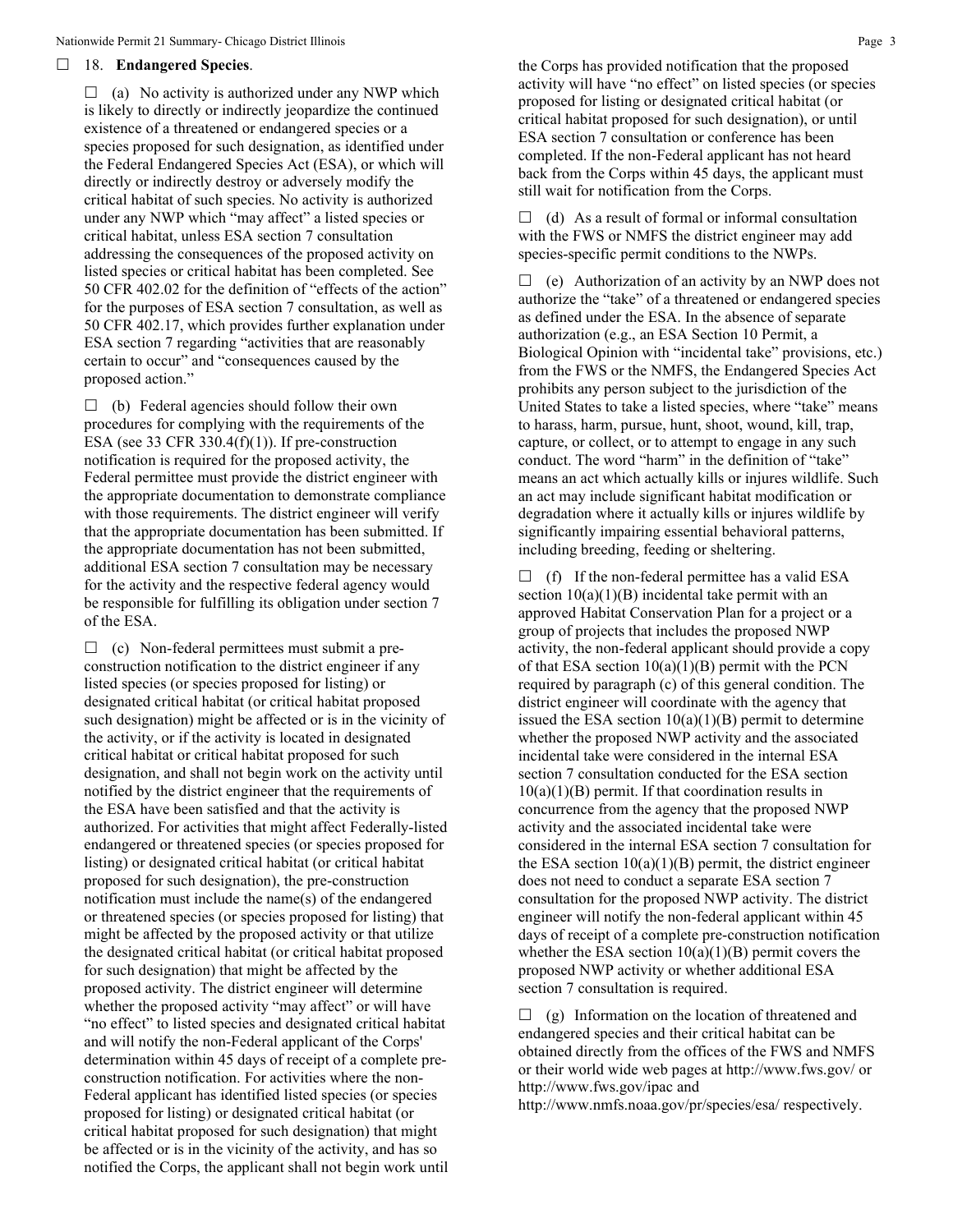### 18. **Endangered Species**.

 $\Box$  (a) No activity is authorized under any NWP which is likely to directly or indirectly jeopardize the continued existence of a threatened or endangered species or a species proposed for such designation, as identified under the Federal Endangered Species Act (ESA), or which will directly or indirectly destroy or adversely modify the critical habitat of such species. No activity is authorized under any NWP which "may affect" a listed species or critical habitat, unless ESA section 7 consultation addressing the consequences of the proposed activity on listed species or critical habitat has been completed. See 50 CFR 402.02 for the definition of "effects of the action" for the purposes of ESA section 7 consultation, as well as 50 CFR 402.17, which provides further explanation under ESA section 7 regarding "activities that are reasonably certain to occur" and "consequences caused by the proposed action."

 $\Box$  (b) Federal agencies should follow their own procedures for complying with the requirements of the ESA (see 33 CFR 330.4 $(f)(1)$ ). If pre-construction notification is required for the proposed activity, the Federal permittee must provide the district engineer with the appropriate documentation to demonstrate compliance with those requirements. The district engineer will verify that the appropriate documentation has been submitted. If the appropriate documentation has not been submitted, additional ESA section 7 consultation may be necessary for the activity and the respective federal agency would be responsible for fulfilling its obligation under section 7 of the ESA.

 $\Box$  (c) Non-federal permittees must submit a preconstruction notification to the district engineer if any listed species (or species proposed for listing) or designated critical habitat (or critical habitat proposed such designation) might be affected or is in the vicinity of the activity, or if the activity is located in designated critical habitat or critical habitat proposed for such designation, and shall not begin work on the activity until notified by the district engineer that the requirements of the ESA have been satisfied and that the activity is authorized. For activities that might affect Federally-listed endangered or threatened species (or species proposed for listing) or designated critical habitat (or critical habitat proposed for such designation), the pre-construction notification must include the name(s) of the endangered or threatened species (or species proposed for listing) that might be affected by the proposed activity or that utilize the designated critical habitat (or critical habitat proposed for such designation) that might be affected by the proposed activity. The district engineer will determine whether the proposed activity "may affect" or will have "no effect" to listed species and designated critical habitat and will notify the non-Federal applicant of the Corps' determination within 45 days of receipt of a complete preconstruction notification. For activities where the non-Federal applicant has identified listed species (or species proposed for listing) or designated critical habitat (or critical habitat proposed for such designation) that might be affected or is in the vicinity of the activity, and has so notified the Corps, the applicant shall not begin work until the Corps has provided notification that the proposed activity will have "no effect" on listed species (or species proposed for listing or designated critical habitat (or critical habitat proposed for such designation), or until ESA section 7 consultation or conference has been completed. If the non-Federal applicant has not heard back from the Corps within 45 days, the applicant must still wait for notification from the Corps.

 $\Box$  (d) As a result of formal or informal consultation with the FWS or NMFS the district engineer may add species-specific permit conditions to the NWPs.

 $\Box$  (e) Authorization of an activity by an NWP does not authorize the "take" of a threatened or endangered species as defined under the ESA. In the absence of separate authorization (e.g., an ESA Section 10 Permit, a Biological Opinion with "incidental take" provisions, etc.) from the FWS or the NMFS, the Endangered Species Act prohibits any person subject to the jurisdiction of the United States to take a listed species, where "take" means to harass, harm, pursue, hunt, shoot, wound, kill, trap, capture, or collect, or to attempt to engage in any such conduct. The word "harm" in the definition of "take" means an act which actually kills or injures wildlife. Such an act may include significant habitat modification or degradation where it actually kills or injures wildlife by significantly impairing essential behavioral patterns, including breeding, feeding or sheltering.

 $\Box$  (f) If the non-federal permittee has a valid ESA section  $10(a)(1)(B)$  incidental take permit with an approved Habitat Conservation Plan for a project or a group of projects that includes the proposed NWP activity, the non-federal applicant should provide a copy of that ESA section  $10(a)(1)(B)$  permit with the PCN required by paragraph (c) of this general condition. The district engineer will coordinate with the agency that issued the ESA section  $10(a)(1)(B)$  permit to determine whether the proposed NWP activity and the associated incidental take were considered in the internal ESA section 7 consultation conducted for the ESA section  $10(a)(1)(B)$  permit. If that coordination results in concurrence from the agency that the proposed NWP activity and the associated incidental take were considered in the internal ESA section 7 consultation for the ESA section  $10(a)(1)(B)$  permit, the district engineer does not need to conduct a separate ESA section 7 consultation for the proposed NWP activity. The district engineer will notify the non-federal applicant within 45 days of receipt of a complete pre-construction notification whether the ESA section  $10(a)(1)(B)$  permit covers the proposed NWP activity or whether additional ESA section 7 consultation is required.

 $\Box$  (g) Information on the location of threatened and endangered species and their critical habitat can be obtained directly from the offices of the FWS and NMFS or their world wide web pages at http://www.fws.gov/ or http://www.fws.gov/ipac and

http://www.nmfs.noaa.gov/pr/species/esa/ respectively.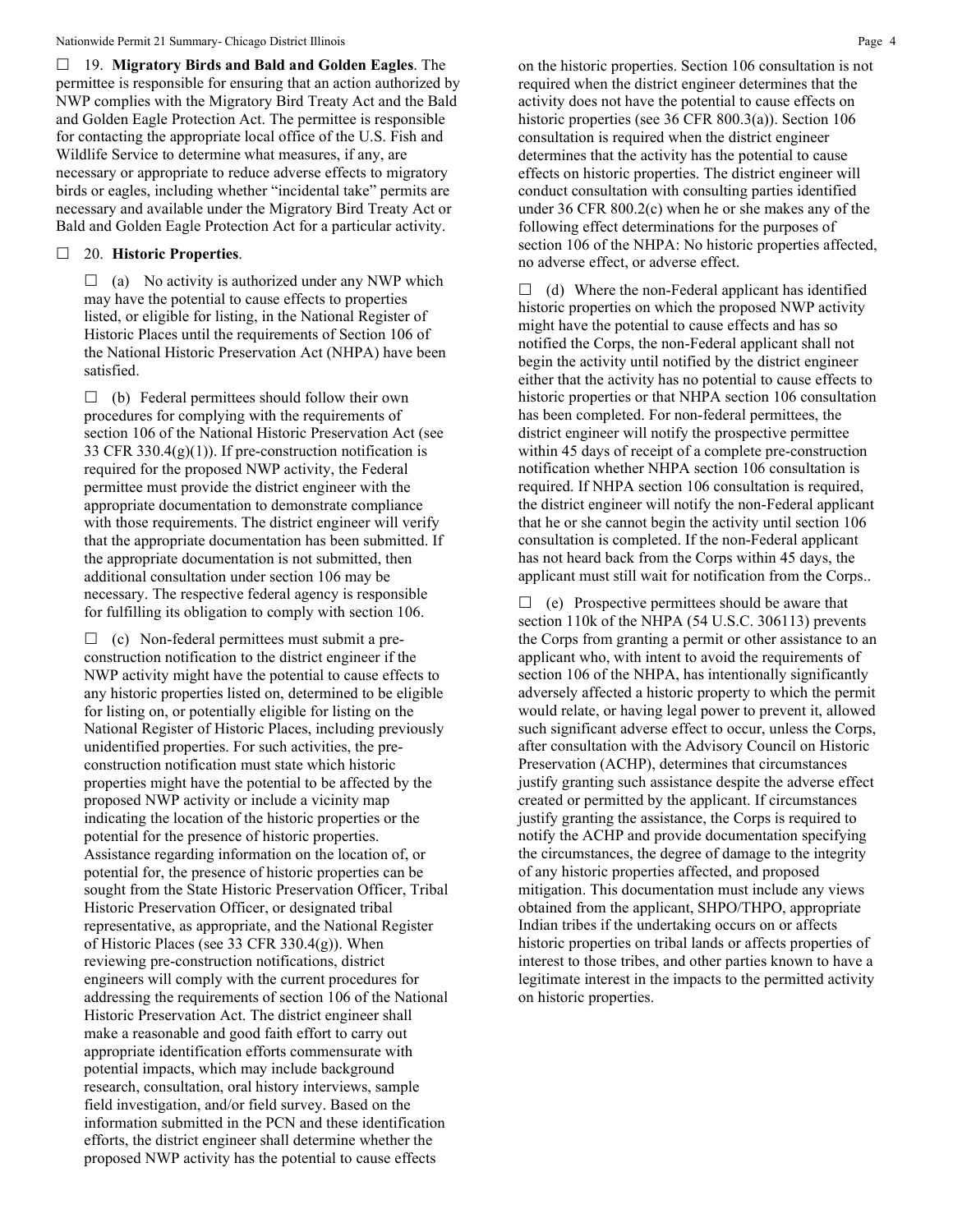19. **Migratory Birds and Bald and Golden Eagles**. The permittee is responsible for ensuring that an action authorized by NWP complies with the Migratory Bird Treaty Act and the Bald and Golden Eagle Protection Act. The permittee is responsible for contacting the appropriate local office of the U.S. Fish and Wildlife Service to determine what measures, if any, are necessary or appropriate to reduce adverse effects to migratory birds or eagles, including whether "incidental take" permits are necessary and available under the Migratory Bird Treaty Act or Bald and Golden Eagle Protection Act for a particular activity.

## 20. **Historic Properties**.

 $\Box$  (a) No activity is authorized under any NWP which may have the potential to cause effects to properties listed, or eligible for listing, in the National Register of Historic Places until the requirements of Section 106 of the National Historic Preservation Act (NHPA) have been satisfied.

 $\Box$  (b) Federal permittees should follow their own procedures for complying with the requirements of section 106 of the National Historic Preservation Act (see 33 CFR 330.4 $(g)(1)$ ). If pre-construction notification is required for the proposed NWP activity, the Federal permittee must provide the district engineer with the appropriate documentation to demonstrate compliance with those requirements. The district engineer will verify that the appropriate documentation has been submitted. If the appropriate documentation is not submitted, then additional consultation under section 106 may be necessary. The respective federal agency is responsible for fulfilling its obligation to comply with section 106.

 $\Box$  (c) Non-federal permittees must submit a preconstruction notification to the district engineer if the NWP activity might have the potential to cause effects to any historic properties listed on, determined to be eligible for listing on, or potentially eligible for listing on the National Register of Historic Places, including previously unidentified properties. For such activities, the preconstruction notification must state which historic properties might have the potential to be affected by the proposed NWP activity or include a vicinity map indicating the location of the historic properties or the potential for the presence of historic properties. Assistance regarding information on the location of, or potential for, the presence of historic properties can be sought from the State Historic Preservation Officer, Tribal Historic Preservation Officer, or designated tribal representative, as appropriate, and the National Register of Historic Places (see 33 CFR  $330.4(g)$ ). When reviewing pre-construction notifications, district engineers will comply with the current procedures for addressing the requirements of section 106 of the National Historic Preservation Act. The district engineer shall make a reasonable and good faith effort to carry out appropriate identification efforts commensurate with potential impacts, which may include background research, consultation, oral history interviews, sample field investigation, and/or field survey. Based on the information submitted in the PCN and these identification efforts, the district engineer shall determine whether the proposed NWP activity has the potential to cause effects

on the historic properties. Section 106 consultation is not required when the district engineer determines that the activity does not have the potential to cause effects on historic properties (see 36 CFR 800.3(a)). Section 106 consultation is required when the district engineer determines that the activity has the potential to cause effects on historic properties. The district engineer will conduct consultation with consulting parties identified under 36 CFR 800.2(c) when he or she makes any of the following effect determinations for the purposes of section 106 of the NHPA: No historic properties affected, no adverse effect, or adverse effect.

 $\Box$  (d) Where the non-Federal applicant has identified historic properties on which the proposed NWP activity might have the potential to cause effects and has so notified the Corps, the non-Federal applicant shall not begin the activity until notified by the district engineer either that the activity has no potential to cause effects to historic properties or that NHPA section 106 consultation has been completed. For non-federal permittees, the district engineer will notify the prospective permittee within 45 days of receipt of a complete pre-construction notification whether NHPA section 106 consultation is required. If NHPA section 106 consultation is required, the district engineer will notify the non-Federal applicant that he or she cannot begin the activity until section 106 consultation is completed. If the non-Federal applicant has not heard back from the Corps within 45 days, the applicant must still wait for notification from the Corps..

 $\Box$  (e) Prospective permittees should be aware that section 110k of the NHPA (54 U.S.C. 306113) prevents the Corps from granting a permit or other assistance to an applicant who, with intent to avoid the requirements of section 106 of the NHPA, has intentionally significantly adversely affected a historic property to which the permit would relate, or having legal power to prevent it, allowed such significant adverse effect to occur, unless the Corps, after consultation with the Advisory Council on Historic Preservation (ACHP), determines that circumstances justify granting such assistance despite the adverse effect created or permitted by the applicant. If circumstances justify granting the assistance, the Corps is required to notify the ACHP and provide documentation specifying the circumstances, the degree of damage to the integrity of any historic properties affected, and proposed mitigation. This documentation must include any views obtained from the applicant, SHPO/THPO, appropriate Indian tribes if the undertaking occurs on or affects historic properties on tribal lands or affects properties of interest to those tribes, and other parties known to have a legitimate interest in the impacts to the permitted activity on historic properties.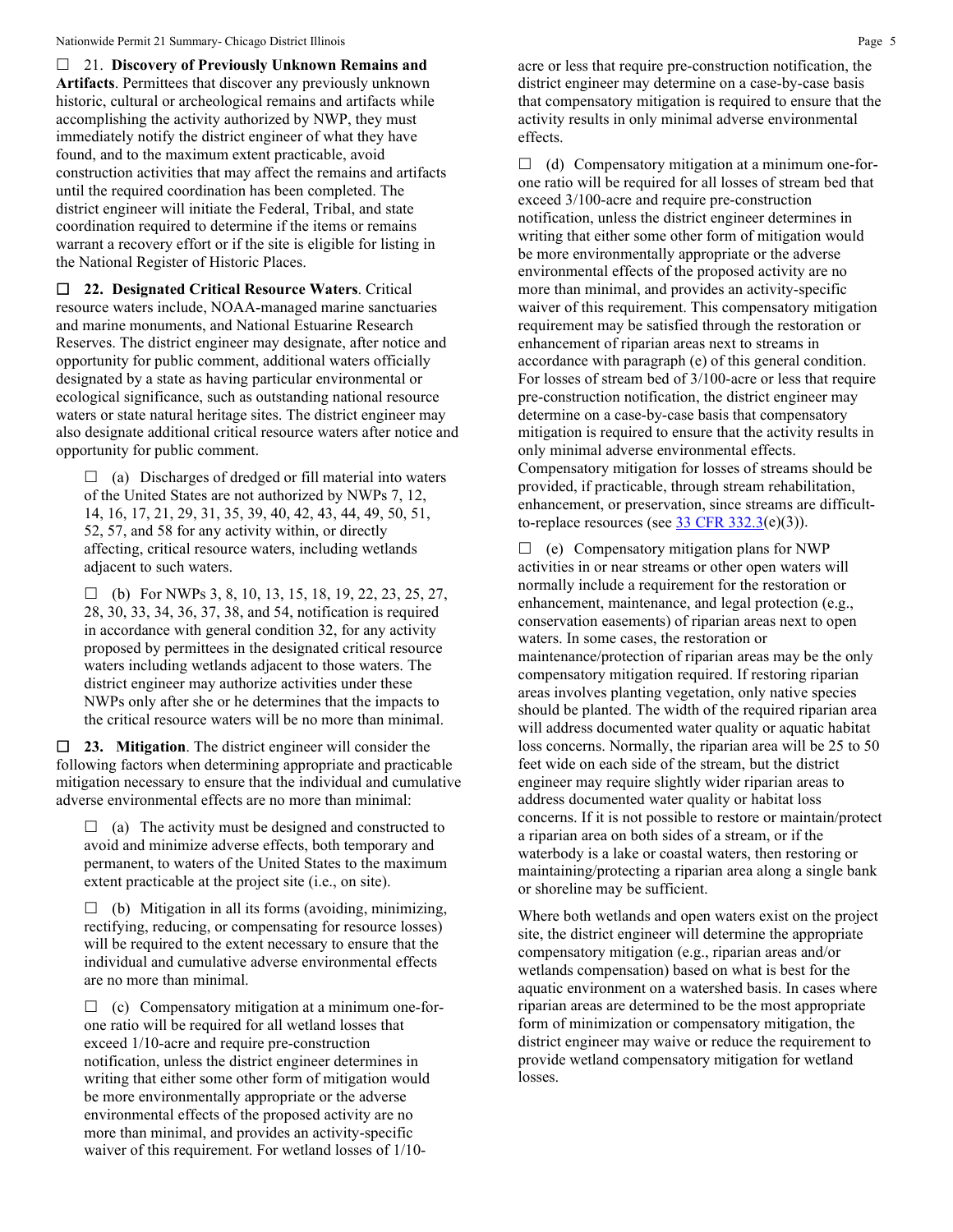21. **Discovery of Previously Unknown Remains and Artifacts**. Permittees that discover any previously unknown historic, cultural or archeological remains and artifacts while accomplishing the activity authorized by NWP, they must immediately notify the district engineer of what they have found, and to the maximum extent practicable, avoid construction activities that may affect the remains and artifacts until the required coordination has been completed. The district engineer will initiate the Federal, Tribal, and state coordination required to determine if the items or remains warrant a recovery effort or if the site is eligible for listing in the National Register of Historic Places.

 **22. Designated Critical Resource Waters**. Critical resource waters include, NOAA-managed marine sanctuaries and marine monuments, and National Estuarine Research Reserves. The district engineer may designate, after notice and opportunity for public comment, additional waters officially designated by a state as having particular environmental or ecological significance, such as outstanding national resource waters or state natural heritage sites. The district engineer may also designate additional critical resource waters after notice and opportunity for public comment.

 $\Box$  (a) Discharges of dredged or fill material into waters of the United States are not authorized by NWPs 7, 12, 14, 16, 17, 21, 29, 31, 35, 39, 40, 42, 43, 44, 49, 50, 51, 52, 57, and 58 for any activity within, or directly affecting, critical resource waters, including wetlands adjacent to such waters.

 $\Box$  (b) For NWPs 3, 8, 10, 13, 15, 18, 19, 22, 23, 25, 27, 28, 30, 33, 34, 36, 37, 38, and 54, notification is required in accordance with general condition 32, for any activity proposed by permittees in the designated critical resource waters including wetlands adjacent to those waters. The district engineer may authorize activities under these NWPs only after she or he determines that the impacts to the critical resource waters will be no more than minimal.

 **23. Mitigation**. The district engineer will consider the following factors when determining appropriate and practicable mitigation necessary to ensure that the individual and cumulative adverse environmental effects are no more than minimal:

 $\Box$  (a) The activity must be designed and constructed to avoid and minimize adverse effects, both temporary and permanent, to waters of the United States to the maximum extent practicable at the project site (i.e., on site).

 $\Box$  (b) Mitigation in all its forms (avoiding, minimizing, rectifying, reducing, or compensating for resource losses) will be required to the extent necessary to ensure that the individual and cumulative adverse environmental effects are no more than minimal.

 $\Box$  (c) Compensatory mitigation at a minimum one-forone ratio will be required for all wetland losses that exceed 1/10-acre and require pre-construction notification, unless the district engineer determines in writing that either some other form of mitigation would be more environmentally appropriate or the adverse environmental effects of the proposed activity are no more than minimal, and provides an activity-specific waiver of this requirement. For wetland losses of 1/10acre or less that require pre-construction notification, the district engineer may determine on a case-by-case basis that compensatory mitigation is required to ensure that the activity results in only minimal adverse environmental effects.

 $\Box$  (d) Compensatory mitigation at a minimum one-forone ratio will be required for all losses of stream bed that exceed 3/100-acre and require pre-construction notification, unless the district engineer determines in writing that either some other form of mitigation would be more environmentally appropriate or the adverse environmental effects of the proposed activity are no more than minimal, and provides an activity-specific waiver of this requirement. This compensatory mitigation requirement may be satisfied through the restoration or enhancement of riparian areas next to streams in accordance with paragraph (e) of this general condition. For losses of stream bed of 3/100-acre or less that require pre-construction notification, the district engineer may determine on a case-by-case basis that compensatory mitigation is required to ensure that the activity results in only minimal adverse environmental effects. Compensatory mitigation for losses of streams should be provided, if practicable, through stream rehabilitation, enhancement, or preservation, since streams are difficultto-replace resources (see  $\frac{33 \text{ CFR } 332.3(e)(3)}{25}$ .

 $\Box$  (e) Compensatory mitigation plans for NWP activities in or near streams or other open waters will normally include a requirement for the restoration or enhancement, maintenance, and legal protection (e.g., conservation easements) of riparian areas next to open waters. In some cases, the restoration or maintenance/protection of riparian areas may be the only compensatory mitigation required. If restoring riparian areas involves planting vegetation, only native species should be planted. The width of the required riparian area will address documented water quality or aquatic habitat loss concerns. Normally, the riparian area will be 25 to 50 feet wide on each side of the stream, but the district engineer may require slightly wider riparian areas to address documented water quality or habitat loss concerns. If it is not possible to restore or maintain/protect a riparian area on both sides of a stream, or if the waterbody is a lake or coastal waters, then restoring or maintaining/protecting a riparian area along a single bank or shoreline may be sufficient.

Where both wetlands and open waters exist on the project site, the district engineer will determine the appropriate compensatory mitigation (e.g., riparian areas and/or wetlands compensation) based on what is best for the aquatic environment on a watershed basis. In cases where riparian areas are determined to be the most appropriate form of minimization or compensatory mitigation, the district engineer may waive or reduce the requirement to provide wetland compensatory mitigation for wetland losses.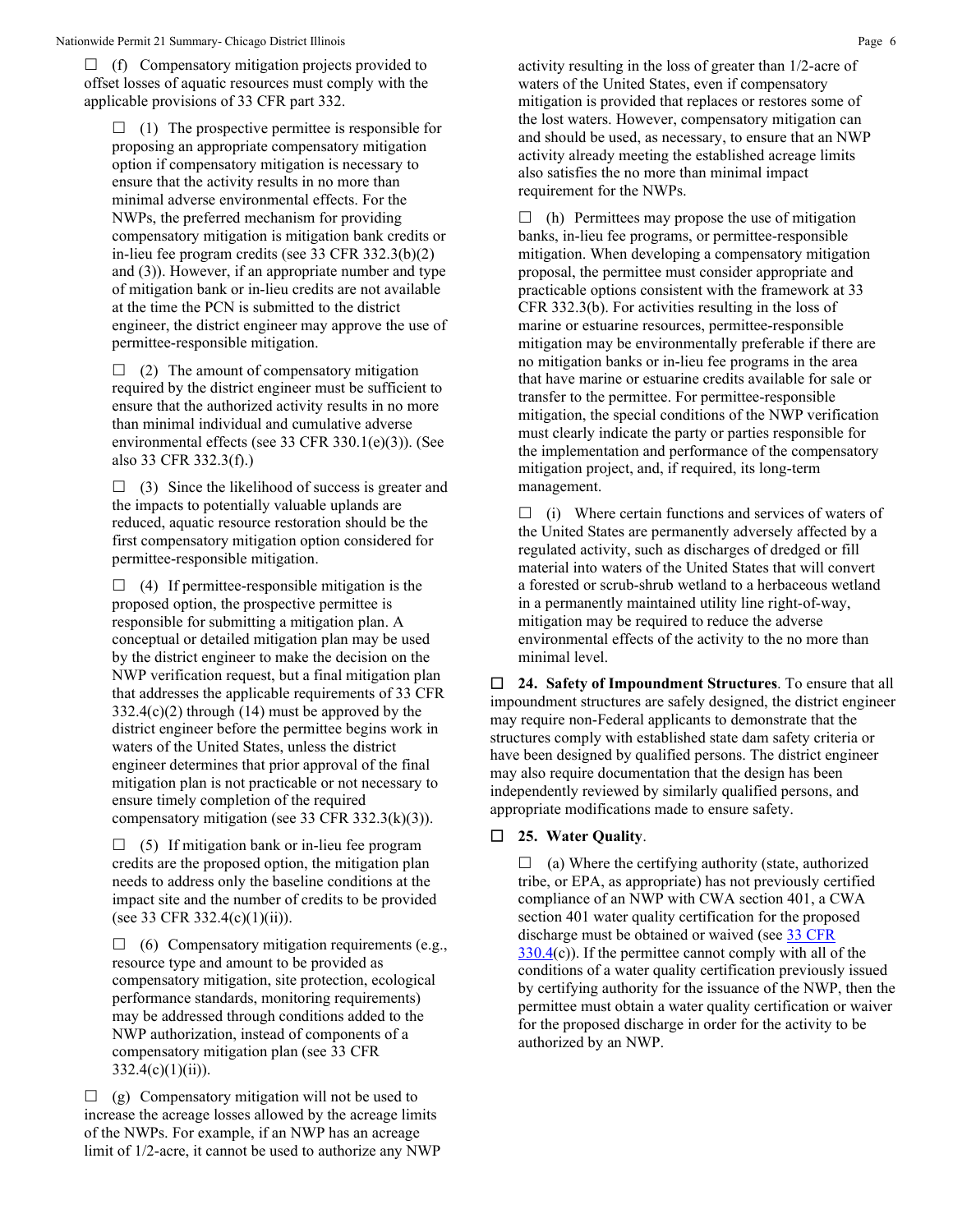$\Box$  (f) Compensatory mitigation projects provided to offset losses of aquatic resources must comply with the applicable provisions of 33 CFR part 332.

 $\Box$  (1) The prospective permittee is responsible for proposing an appropriate compensatory mitigation option if compensatory mitigation is necessary to ensure that the activity results in no more than minimal adverse environmental effects. For the NWPs, the preferred mechanism for providing compensatory mitigation is mitigation bank credits or in-lieu fee program credits (see 33 CFR 332.3(b)(2) and (3)). However, if an appropriate number and type of mitigation bank or in-lieu credits are not available at the time the PCN is submitted to the district engineer, the district engineer may approve the use of permittee-responsible mitigation.

 $\Box$  (2) The amount of compensatory mitigation required by the district engineer must be sufficient to ensure that the authorized activity results in no more than minimal individual and cumulative adverse environmental effects (see 33 CFR 330.1(e)(3)). (See also 33 CFR 332.3(f).)

 $\Box$  (3) Since the likelihood of success is greater and the impacts to potentially valuable uplands are reduced, aquatic resource restoration should be the first compensatory mitigation option considered for permittee-responsible mitigation.

 $\Box$  (4) If permittee-responsible mitigation is the proposed option, the prospective permittee is responsible for submitting a mitigation plan. A conceptual or detailed mitigation plan may be used by the district engineer to make the decision on the NWP verification request, but a final mitigation plan that addresses the applicable requirements of 33 CFR 332.4(c)(2) through (14) must be approved by the district engineer before the permittee begins work in waters of the United States, unless the district engineer determines that prior approval of the final mitigation plan is not practicable or not necessary to ensure timely completion of the required compensatory mitigation (see 33 CFR 332.3(k)(3)).

 $\Box$  (5) If mitigation bank or in-lieu fee program credits are the proposed option, the mitigation plan needs to address only the baseline conditions at the impact site and the number of credits to be provided (see 33 CFR 332.4(c)(1)(ii)).

 $\Box$  (6) Compensatory mitigation requirements (e.g., resource type and amount to be provided as compensatory mitigation, site protection, ecological performance standards, monitoring requirements) may be addressed through conditions added to the NWP authorization, instead of components of a compensatory mitigation plan (see 33 CFR  $332.4(c)(1)(ii)$ ).

 $\Box$  (g) Compensatory mitigation will not be used to increase the acreage losses allowed by the acreage limits of the NWPs. For example, if an NWP has an acreage limit of 1/2-acre, it cannot be used to authorize any NWP activity resulting in the loss of greater than 1/2-acre of waters of the United States, even if compensatory mitigation is provided that replaces or restores some of the lost waters. However, compensatory mitigation can and should be used, as necessary, to ensure that an NWP activity already meeting the established acreage limits also satisfies the no more than minimal impact requirement for the NWPs.

 $\Box$  (h) Permittees may propose the use of mitigation banks, in-lieu fee programs, or permittee-responsible mitigation. When developing a compensatory mitigation proposal, the permittee must consider appropriate and practicable options consistent with the framework at 33 CFR 332.3(b). For activities resulting in the loss of marine or estuarine resources, permittee-responsible mitigation may be environmentally preferable if there are no mitigation banks or in-lieu fee programs in the area that have marine or estuarine credits available for sale or transfer to the permittee. For permittee-responsible mitigation, the special conditions of the NWP verification must clearly indicate the party or parties responsible for the implementation and performance of the compensatory mitigation project, and, if required, its long-term management.

 $\Box$  (i) Where certain functions and services of waters of the United States are permanently adversely affected by a regulated activity, such as discharges of dredged or fill material into waters of the United States that will convert a forested or scrub-shrub wetland to a herbaceous wetland in a permanently maintained utility line right-of-way, mitigation may be required to reduce the adverse environmental effects of the activity to the no more than minimal level.

 **24. Safety of Impoundment Structures**. To ensure that all impoundment structures are safely designed, the district engineer may require non-Federal applicants to demonstrate that the structures comply with established state dam safety criteria or have been designed by qualified persons. The district engineer may also require documentation that the design has been independently reviewed by similarly qualified persons, and appropriate modifications made to ensure safety.

## **25. Water Quality**.

 $\Box$  (a) Where the certifying authority (state, authorized tribe, or EPA, as appropriate) has not previously certified compliance of an NWP with CWA section 401, a CWA section 401 water quality certification for the proposed discharge must be obtained or waived (see [33 CFR](https://www.federalregister.gov/select-citation/2021/01/13/33-CFR-330.4)  [330.4\(](https://www.federalregister.gov/select-citation/2021/01/13/33-CFR-330.4)c)). If the permittee cannot comply with all of the conditions of a water quality certification previously issued by certifying authority for the issuance of the NWP, then the permittee must obtain a water quality certification or waiver for the proposed discharge in order for the activity to be authorized by an NWP.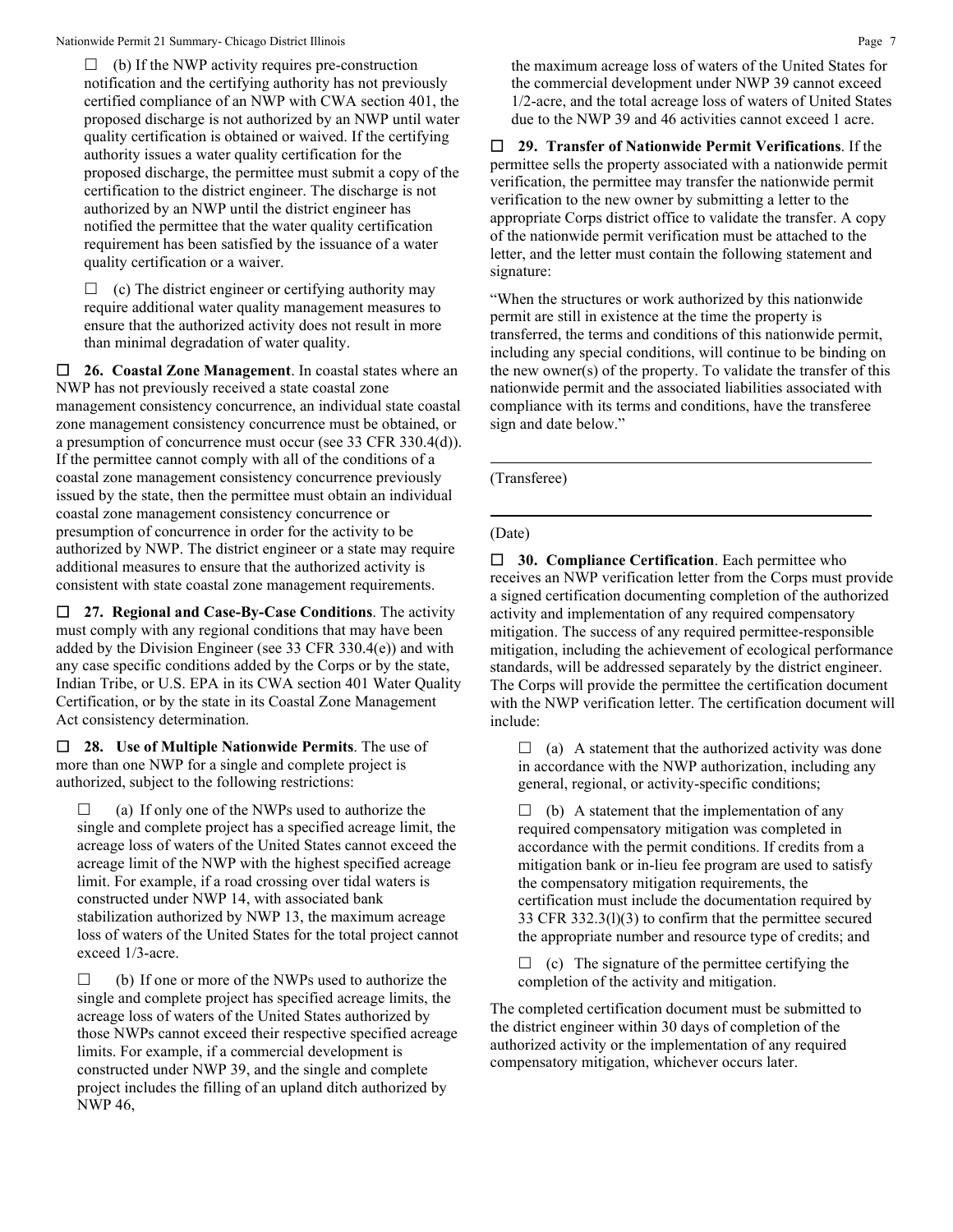$\Box$  (b) If the NWP activity requires pre-construction notification and the certifying authority has not previously certified compliance of an NWP with CWA section 401, the proposed discharge is not authorized by an NWP until water quality certification is obtained or waived. If the certifying authority issues a water quality certification for the proposed discharge, the permittee must submit a copy of the certification to the district engineer. The discharge is not authorized by an NWP until the district engineer has notified the permittee that the water quality certification requirement has been satisfied by the issuance of a water quality certification or a waiver.

 $\Box$  (c) The district engineer or certifying authority may require additional water quality management measures to ensure that the authorized activity does not result in more than minimal degradation of water quality.

 **26. Coastal Zone Management**. In coastal states where an NWP has not previously received a state coastal zone management consistency concurrence, an individual state coastal zone management consistency concurrence must be obtained, or a presumption of concurrence must occur (see 33 CFR 330.4(d)). If the permittee cannot comply with all of the conditions of a coastal zone management consistency concurrence previously issued by the state, then the permittee must obtain an individual coastal zone management consistency concurrence or presumption of concurrence in order for the activity to be authorized by NWP. The district engineer or a state may require additional measures to ensure that the authorized activity is consistent with state coastal zone management requirements.

 **27. Regional and Case-By-Case Conditions**. The activity must comply with any regional conditions that may have been added by the Division Engineer (see 33 CFR 330.4(e)) and with any case specific conditions added by the Corps or by the state, Indian Tribe, or U.S. EPA in its CWA section 401 Water Quality Certification, or by the state in its Coastal Zone Management Act consistency determination.

 **28. Use of Multiple Nationwide Permits**. The use of more than one NWP for a single and complete project is authorized, subject to the following restrictions:

 (a) If only one of the NWPs used to authorize the single and complete project has a specified acreage limit, the acreage loss of waters of the United States cannot exceed the acreage limit of the NWP with the highest specified acreage limit. For example, if a road crossing over tidal waters is constructed under NWP 14, with associated bank stabilization authorized by NWP 13, the maximum acreage loss of waters of the United States for the total project cannot exceed 1/3-acre.

 $\Box$  (b) If one or more of the NWPs used to authorize the single and complete project has specified acreage limits, the acreage loss of waters of the United States authorized by those NWPs cannot exceed their respective specified acreage limits. For example, if a commercial development is constructed under NWP 39, and the single and complete project includes the filling of an upland ditch authorized by NWP 46,

the maximum acreage loss of waters of the United States for the commercial development under NWP 39 cannot exceed 1/2-acre, and the total acreage loss of waters of United States due to the NWP 39 and 46 activities cannot exceed 1 acre.

 **29. Transfer of Nationwide Permit Verifications**. If the permittee sells the property associated with a nationwide permit verification, the permittee may transfer the nationwide permit verification to the new owner by submitting a letter to the appropriate Corps district office to validate the transfer. A copy of the nationwide permit verification must be attached to the letter, and the letter must contain the following statement and signature:

"When the structures or work authorized by this nationwide permit are still in existence at the time the property is transferred, the terms and conditions of this nationwide permit, including any special conditions, will continue to be binding on the new owner(s) of the property. To validate the transfer of this nationwide permit and the associated liabilities associated with compliance with its terms and conditions, have the transferee sign and date below."

(Transferee)

## (Date)

 **30. Compliance Certification**. Each permittee who receives an NWP verification letter from the Corps must provide a signed certification documenting completion of the authorized activity and implementation of any required compensatory mitigation. The success of any required permittee-responsible mitigation, including the achievement of ecological performance standards, will be addressed separately by the district engineer. The Corps will provide the permittee the certification document with the NWP verification letter. The certification document will include:

 $\Box$  (a) A statement that the authorized activity was done in accordance with the NWP authorization, including any general, regional, or activity-specific conditions;

 $\Box$  (b) A statement that the implementation of any required compensatory mitigation was completed in accordance with the permit conditions. If credits from a mitigation bank or in-lieu fee program are used to satisfy the compensatory mitigation requirements, the certification must include the documentation required by 33 CFR 332.3(l)(3) to confirm that the permittee secured the appropriate number and resource type of credits; and

 $\Box$  (c) The signature of the permittee certifying the completion of the activity and mitigation.

The completed certification document must be submitted to the district engineer within 30 days of completion of the authorized activity or the implementation of any required compensatory mitigation, whichever occurs later.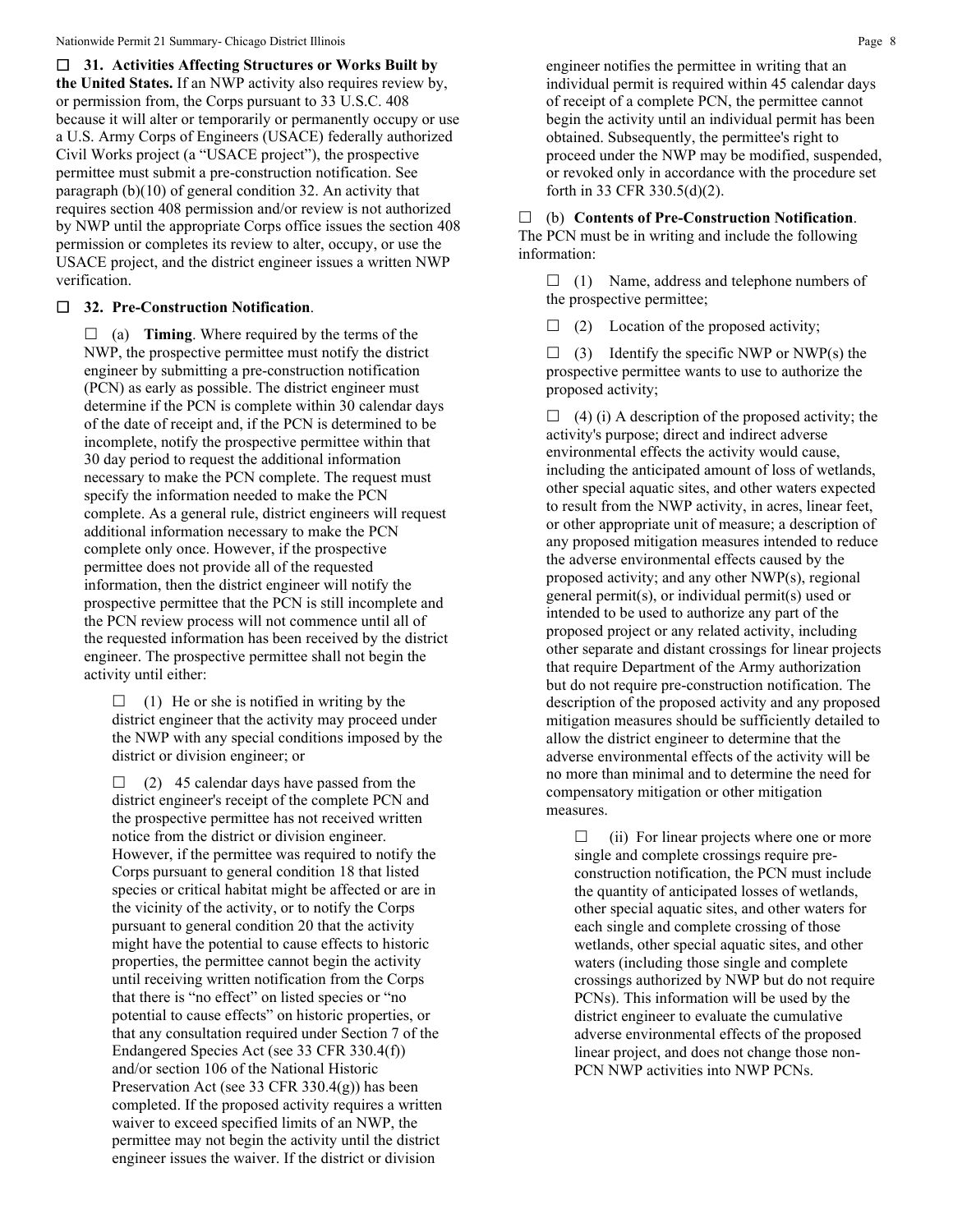**31. Activities Affecting Structures or Works Built by the United States.** If an NWP activity also requires review by, or permission from, the Corps pursuant to 33 U.S.C. 408 because it will alter or temporarily or permanently occupy or use a U.S. Army Corps of Engineers (USACE) federally authorized Civil Works project (a "USACE project"), the prospective permittee must submit a pre-construction notification. See paragraph (b)(10) of general condition 32. An activity that requires section 408 permission and/or review is not authorized by NWP until the appropriate Corps office issues the section 408 permission or completes its review to alter, occupy, or use the USACE project, and the district engineer issues a written NWP verification.

## **32. Pre-Construction Notification**.

 $\Box$  (a) **Timing**. Where required by the terms of the NWP, the prospective permittee must notify the district engineer by submitting a pre-construction notification (PCN) as early as possible. The district engineer must determine if the PCN is complete within 30 calendar days of the date of receipt and, if the PCN is determined to be incomplete, notify the prospective permittee within that 30 day period to request the additional information necessary to make the PCN complete. The request must specify the information needed to make the PCN complete. As a general rule, district engineers will request additional information necessary to make the PCN complete only once. However, if the prospective permittee does not provide all of the requested information, then the district engineer will notify the prospective permittee that the PCN is still incomplete and the PCN review process will not commence until all of the requested information has been received by the district engineer. The prospective permittee shall not begin the activity until either:

 $\Box$  (1) He or she is notified in writing by the district engineer that the activity may proceed under the NWP with any special conditions imposed by the district or division engineer; or

 $\Box$  (2) 45 calendar days have passed from the district engineer's receipt of the complete PCN and the prospective permittee has not received written notice from the district or division engineer. However, if the permittee was required to notify the Corps pursuant to general condition 18 that listed species or critical habitat might be affected or are in the vicinity of the activity, or to notify the Corps pursuant to general condition 20 that the activity might have the potential to cause effects to historic properties, the permittee cannot begin the activity until receiving written notification from the Corps that there is "no effect" on listed species or "no potential to cause effects" on historic properties, or that any consultation required under Section 7 of the Endangered Species Act (see 33 CFR 330.4(f)) and/or section 106 of the National Historic Preservation Act (see 33 CFR 330.4(g)) has been completed. If the proposed activity requires a written waiver to exceed specified limits of an NWP, the permittee may not begin the activity until the district engineer issues the waiver. If the district or division

engineer notifies the permittee in writing that an individual permit is required within 45 calendar days of receipt of a complete PCN, the permittee cannot begin the activity until an individual permit has been obtained. Subsequently, the permittee's right to proceed under the NWP may be modified, suspended, or revoked only in accordance with the procedure set forth in 33 CFR 330.5(d)(2).

 (b) **Contents of Pre-Construction Notification**. The PCN must be in writing and include the following information:

 $\Box$  (1) Name, address and telephone numbers of the prospective permittee;

 $\Box$  (2) Location of the proposed activity;

 $\Box$  (3) Identify the specific NWP or NWP(s) the prospective permittee wants to use to authorize the proposed activity;

 $\Box$  (4) (i) A description of the proposed activity; the activity's purpose; direct and indirect adverse environmental effects the activity would cause, including the anticipated amount of loss of wetlands, other special aquatic sites, and other waters expected to result from the NWP activity, in acres, linear feet, or other appropriate unit of measure; a description of any proposed mitigation measures intended to reduce the adverse environmental effects caused by the proposed activity; and any other NWP(s), regional general permit(s), or individual permit(s) used or intended to be used to authorize any part of the proposed project or any related activity, including other separate and distant crossings for linear projects that require Department of the Army authorization but do not require pre-construction notification. The description of the proposed activity and any proposed mitigation measures should be sufficiently detailed to allow the district engineer to determine that the adverse environmental effects of the activity will be no more than minimal and to determine the need for compensatory mitigation or other mitigation measures.

 $\Box$  (ii) For linear projects where one or more single and complete crossings require preconstruction notification, the PCN must include the quantity of anticipated losses of wetlands, other special aquatic sites, and other waters for each single and complete crossing of those wetlands, other special aquatic sites, and other waters (including those single and complete crossings authorized by NWP but do not require PCNs). This information will be used by the district engineer to evaluate the cumulative adverse environmental effects of the proposed linear project, and does not change those non-PCN NWP activities into NWP PCNs.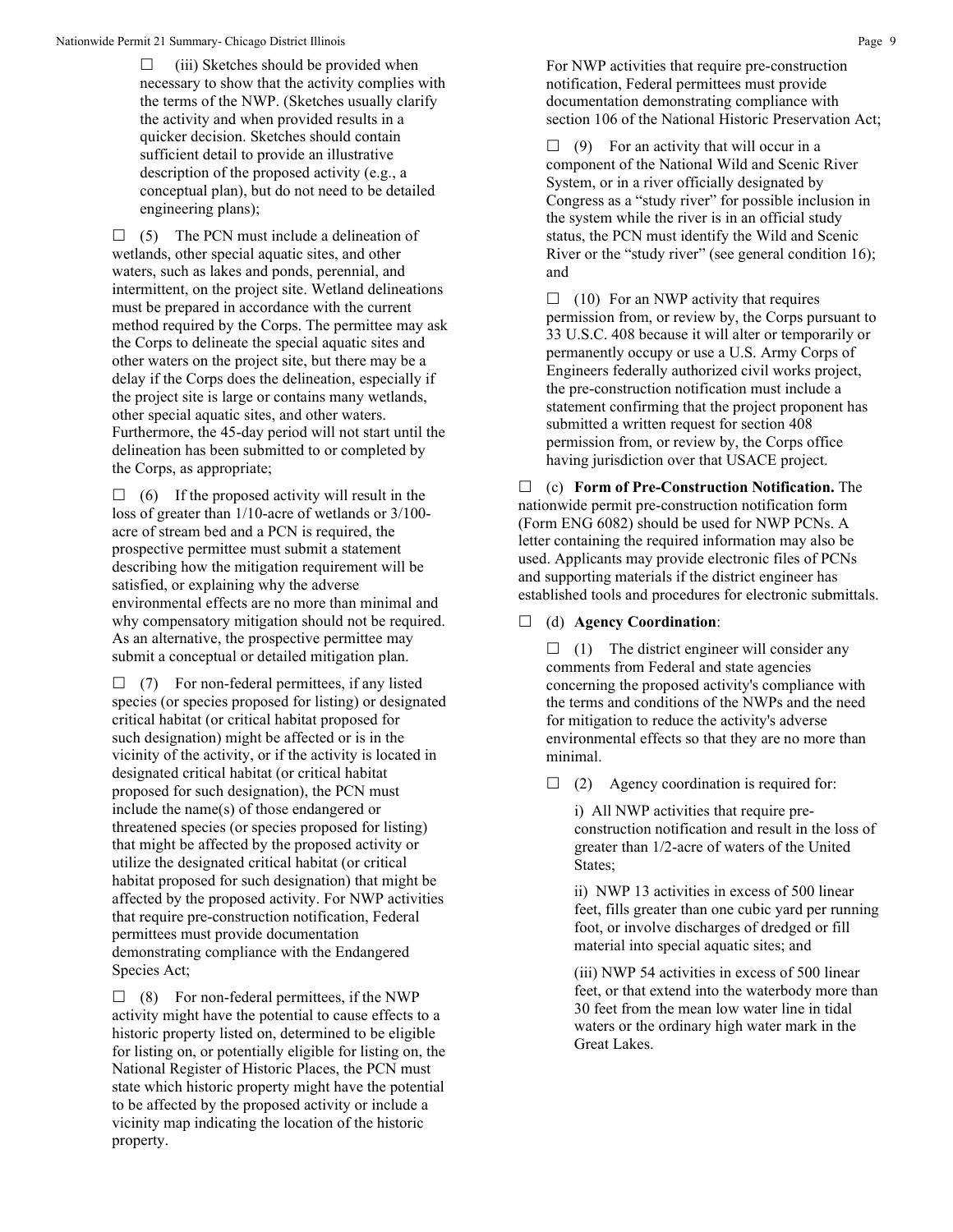$\Box$  (iii) Sketches should be provided when necessary to show that the activity complies with the terms of the NWP. (Sketches usually clarify the activity and when provided results in a quicker decision. Sketches should contain sufficient detail to provide an illustrative description of the proposed activity (e.g., a conceptual plan), but do not need to be detailed engineering plans);

 $\Box$  (5) The PCN must include a delineation of wetlands, other special aquatic sites, and other waters, such as lakes and ponds, perennial, and intermittent, on the project site. Wetland delineations must be prepared in accordance with the current method required by the Corps. The permittee may ask the Corps to delineate the special aquatic sites and other waters on the project site, but there may be a delay if the Corps does the delineation, especially if the project site is large or contains many wetlands, other special aquatic sites, and other waters. Furthermore, the 45-day period will not start until the delineation has been submitted to or completed by the Corps, as appropriate;

 $\Box$  (6) If the proposed activity will result in the loss of greater than 1/10-acre of wetlands or 3/100 acre of stream bed and a PCN is required, the prospective permittee must submit a statement describing how the mitigation requirement will be satisfied, or explaining why the adverse environmental effects are no more than minimal and why compensatory mitigation should not be required. As an alternative, the prospective permittee may submit a conceptual or detailed mitigation plan.

 $\Box$  (7) For non-federal permittees, if any listed species (or species proposed for listing) or designated critical habitat (or critical habitat proposed for such designation) might be affected or is in the vicinity of the activity, or if the activity is located in designated critical habitat (or critical habitat proposed for such designation), the PCN must include the name(s) of those endangered or threatened species (or species proposed for listing) that might be affected by the proposed activity or utilize the designated critical habitat (or critical habitat proposed for such designation) that might be affected by the proposed activity. For NWP activities that require pre-construction notification, Federal permittees must provide documentation demonstrating compliance with the Endangered Species Act;

 $\Box$  (8) For non-federal permittees, if the NWP activity might have the potential to cause effects to a historic property listed on, determined to be eligible for listing on, or potentially eligible for listing on, the National Register of Historic Places, the PCN must state which historic property might have the potential to be affected by the proposed activity or include a vicinity map indicating the location of the historic property.

For NWP activities that require pre-construction notification, Federal permittees must provide documentation demonstrating compliance with section 106 of the National Historic Preservation Act;

 $\Box$  (9) For an activity that will occur in a component of the National Wild and Scenic River System, or in a river officially designated by Congress as a "study river" for possible inclusion in the system while the river is in an official study status, the PCN must identify the Wild and Scenic River or the "study river" (see general condition 16); and

 $\Box$  (10) For an NWP activity that requires permission from, or review by, the Corps pursuant to 33 U.S.C. 408 because it will alter or temporarily or permanently occupy or use a U.S. Army Corps of Engineers federally authorized civil works project, the pre-construction notification must include a statement confirming that the project proponent has submitted a written request for section 408 permission from, or review by, the Corps office having jurisdiction over that USACE project.

 (c) **Form of Pre-Construction Notification.** The nationwide permit pre-construction notification form (Form ENG 6082) should be used for NWP PCNs. A letter containing the required information may also be used. Applicants may provide electronic files of PCNs and supporting materials if the district engineer has established tools and procedures for electronic submittals.

## (d) **Agency Coordination**:

 $\Box$  (1) The district engineer will consider any comments from Federal and state agencies concerning the proposed activity's compliance with the terms and conditions of the NWPs and the need for mitigation to reduce the activity's adverse environmental effects so that they are no more than minimal.

 $\Box$  (2) Agency coordination is required for:

i) All NWP activities that require preconstruction notification and result in the loss of greater than 1/2-acre of waters of the United States;

ii) NWP 13 activities in excess of 500 linear feet, fills greater than one cubic yard per running foot, or involve discharges of dredged or fill material into special aquatic sites; and

(iii) NWP 54 activities in excess of 500 linear feet, or that extend into the waterbody more than 30 feet from the mean low water line in tidal waters or the ordinary high water mark in the Great Lakes.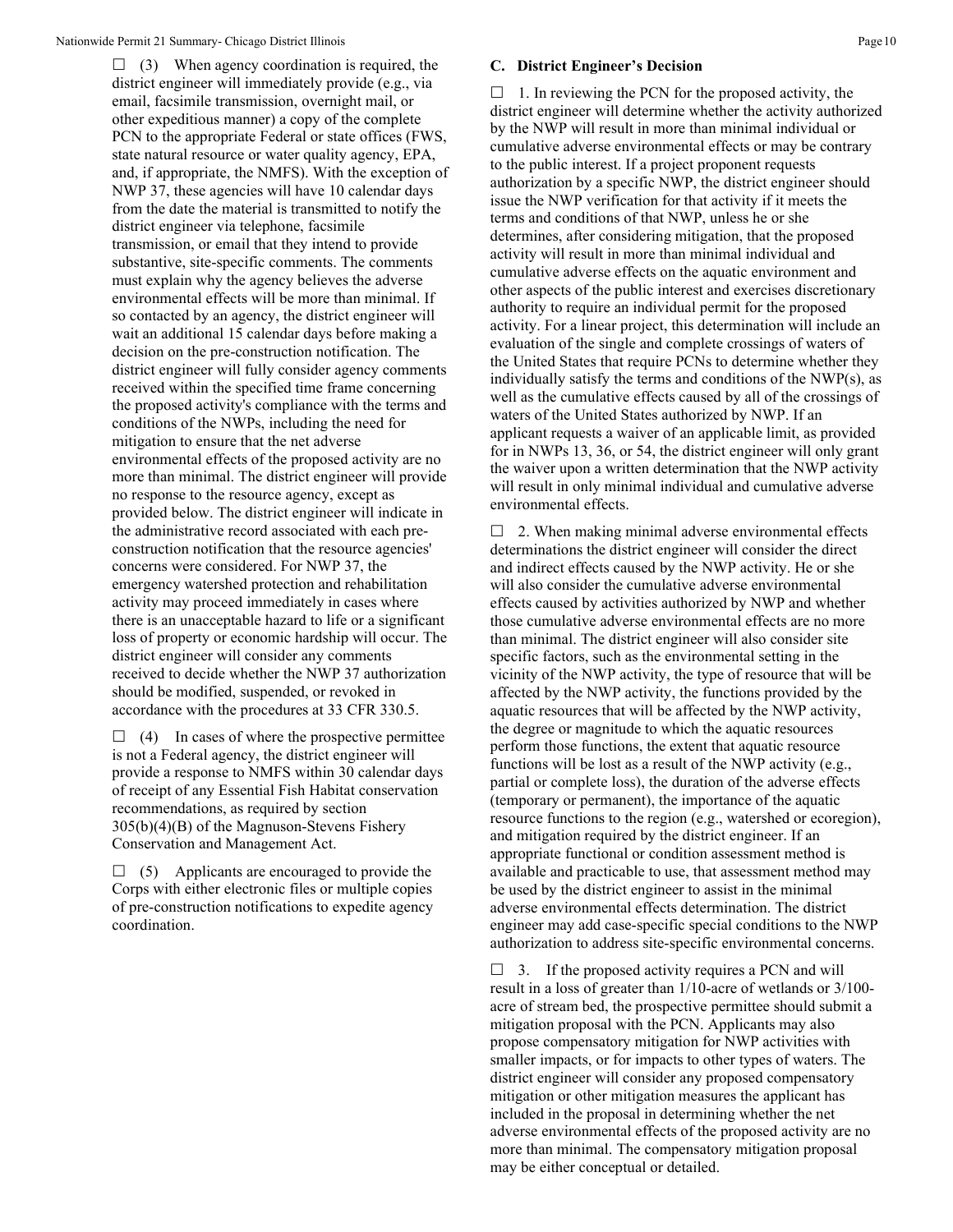$\Box$  (3) When agency coordination is required, the district engineer will immediately provide (e.g., via email, facsimile transmission, overnight mail, or other expeditious manner) a copy of the complete PCN to the appropriate Federal or state offices (FWS, state natural resource or water quality agency, EPA, and, if appropriate, the NMFS). With the exception of NWP 37, these agencies will have 10 calendar days from the date the material is transmitted to notify the district engineer via telephone, facsimile transmission, or email that they intend to provide substantive, site-specific comments. The comments must explain why the agency believes the adverse environmental effects will be more than minimal. If so contacted by an agency, the district engineer will wait an additional 15 calendar days before making a decision on the pre-construction notification. The district engineer will fully consider agency comments received within the specified time frame concerning the proposed activity's compliance with the terms and conditions of the NWPs, including the need for mitigation to ensure that the net adverse environmental effects of the proposed activity are no more than minimal. The district engineer will provide no response to the resource agency, except as provided below. The district engineer will indicate in the administrative record associated with each preconstruction notification that the resource agencies' concerns were considered. For NWP 37, the emergency watershed protection and rehabilitation activity may proceed immediately in cases where there is an unacceptable hazard to life or a significant loss of property or economic hardship will occur. The district engineer will consider any comments received to decide whether the NWP 37 authorization should be modified, suspended, or revoked in accordance with the procedures at 33 CFR 330.5.

 $\Box$  (4) In cases of where the prospective permittee is not a Federal agency, the district engineer will provide a response to NMFS within 30 calendar days of receipt of any Essential Fish Habitat conservation recommendations, as required by section 305(b)(4)(B) of the Magnuson-Stevens Fishery Conservation and Management Act.

 $\Box$  (5) Applicants are encouraged to provide the Corps with either electronic files or multiple copies of pre-construction notifications to expedite agency coordination.

### **C. District Engineer's Decision**

 $\Box$  1. In reviewing the PCN for the proposed activity, the district engineer will determine whether the activity authorized by the NWP will result in more than minimal individual or cumulative adverse environmental effects or may be contrary to the public interest. If a project proponent requests authorization by a specific NWP, the district engineer should issue the NWP verification for that activity if it meets the terms and conditions of that NWP, unless he or she determines, after considering mitigation, that the proposed activity will result in more than minimal individual and cumulative adverse effects on the aquatic environment and other aspects of the public interest and exercises discretionary authority to require an individual permit for the proposed activity. For a linear project, this determination will include an evaluation of the single and complete crossings of waters of the United States that require PCNs to determine whether they individually satisfy the terms and conditions of the NWP(s), as well as the cumulative effects caused by all of the crossings of waters of the United States authorized by NWP. If an applicant requests a waiver of an applicable limit, as provided for in NWPs 13, 36, or 54, the district engineer will only grant the waiver upon a written determination that the NWP activity will result in only minimal individual and cumulative adverse environmental effects.

 $\Box$  2. When making minimal adverse environmental effects determinations the district engineer will consider the direct and indirect effects caused by the NWP activity. He or she will also consider the cumulative adverse environmental effects caused by activities authorized by NWP and whether those cumulative adverse environmental effects are no more than minimal. The district engineer will also consider site specific factors, such as the environmental setting in the vicinity of the NWP activity, the type of resource that will be affected by the NWP activity, the functions provided by the aquatic resources that will be affected by the NWP activity, the degree or magnitude to which the aquatic resources perform those functions, the extent that aquatic resource functions will be lost as a result of the NWP activity (e.g., partial or complete loss), the duration of the adverse effects (temporary or permanent), the importance of the aquatic resource functions to the region (e.g., watershed or ecoregion), and mitigation required by the district engineer. If an appropriate functional or condition assessment method is available and practicable to use, that assessment method may be used by the district engineer to assist in the minimal adverse environmental effects determination. The district engineer may add case-specific special conditions to the NWP authorization to address site-specific environmental concerns.

 $\Box$  3. If the proposed activity requires a PCN and will result in a loss of greater than 1/10-acre of wetlands or 3/100 acre of stream bed, the prospective permittee should submit a mitigation proposal with the PCN. Applicants may also propose compensatory mitigation for NWP activities with smaller impacts, or for impacts to other types of waters. The district engineer will consider any proposed compensatory mitigation or other mitigation measures the applicant has included in the proposal in determining whether the net adverse environmental effects of the proposed activity are no more than minimal. The compensatory mitigation proposal may be either conceptual or detailed.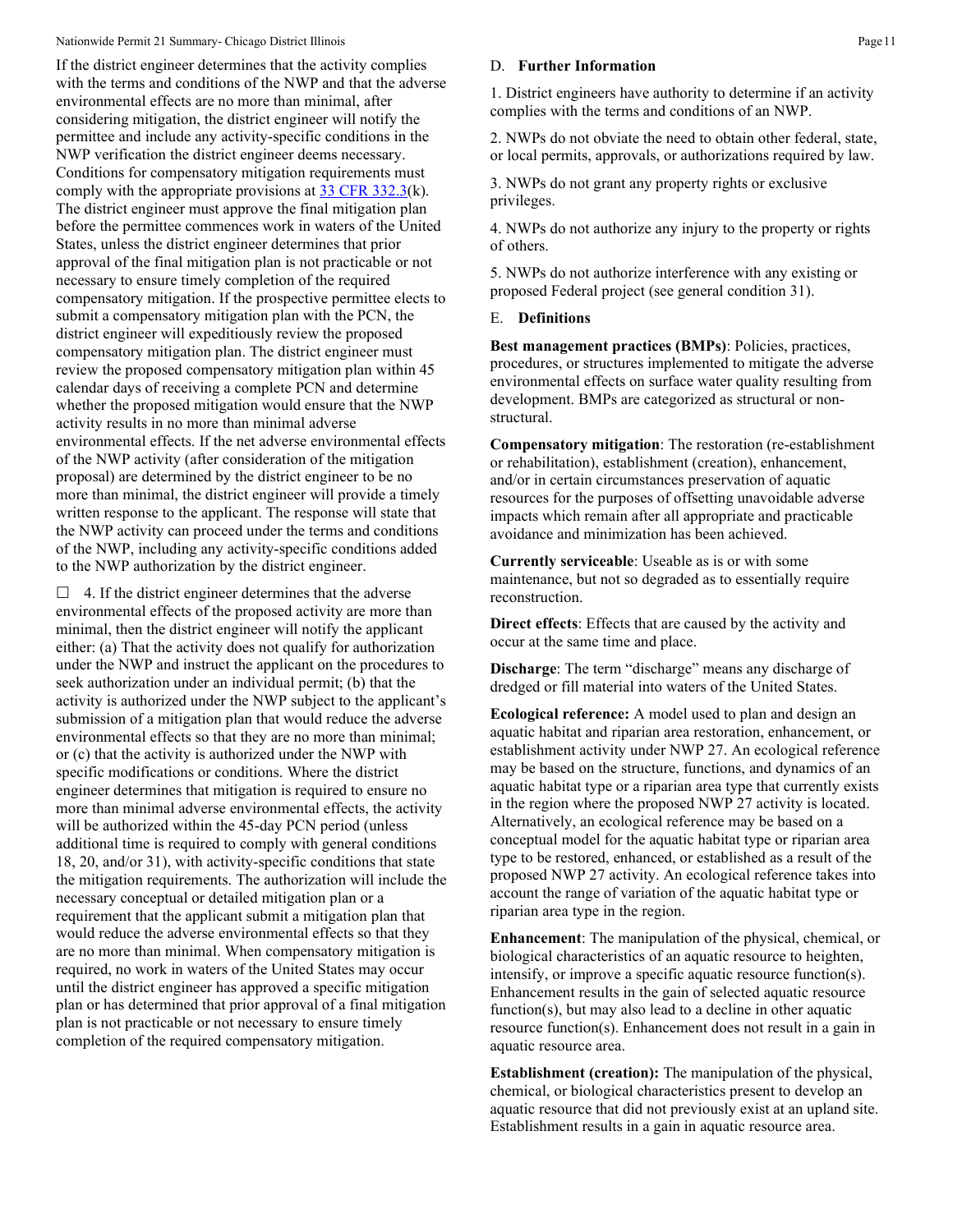If the district engineer determines that the activity complies with the terms and conditions of the NWP and that the adverse environmental effects are no more than minimal, after considering mitigation, the district engineer will notify the permittee and include any activity-specific conditions in the NWP verification the district engineer deems necessary. Conditions for compensatory mitigation requirements must comply with the appropriate provisions at  $33 \text{ CFR } 332.3(k)$ . The district engineer must approve the final mitigation plan before the permittee commences work in waters of the United States, unless the district engineer determines that prior approval of the final mitigation plan is not practicable or not necessary to ensure timely completion of the required compensatory mitigation. If the prospective permittee elects to submit a compensatory mitigation plan with the PCN, the district engineer will expeditiously review the proposed compensatory mitigation plan. The district engineer must review the proposed compensatory mitigation plan within 45 calendar days of receiving a complete PCN and determine whether the proposed mitigation would ensure that the NWP activity results in no more than minimal adverse environmental effects. If the net adverse environmental effects of the NWP activity (after consideration of the mitigation proposal) are determined by the district engineer to be no more than minimal, the district engineer will provide a timely written response to the applicant. The response will state that the NWP activity can proceed under the terms and conditions of the NWP, including any activity-specific conditions added to the NWP authorization by the district engineer.

 $\Box$  4. If the district engineer determines that the adverse environmental effects of the proposed activity are more than minimal, then the district engineer will notify the applicant either: (a) That the activity does not qualify for authorization under the NWP and instruct the applicant on the procedures to seek authorization under an individual permit; (b) that the activity is authorized under the NWP subject to the applicant's submission of a mitigation plan that would reduce the adverse environmental effects so that they are no more than minimal; or (c) that the activity is authorized under the NWP with specific modifications or conditions. Where the district engineer determines that mitigation is required to ensure no more than minimal adverse environmental effects, the activity will be authorized within the 45-day PCN period (unless additional time is required to comply with general conditions 18, 20, and/or 31), with activity-specific conditions that state the mitigation requirements. The authorization will include the necessary conceptual or detailed mitigation plan or a requirement that the applicant submit a mitigation plan that would reduce the adverse environmental effects so that they are no more than minimal. When compensatory mitigation is required, no work in waters of the United States may occur until the district engineer has approved a specific mitigation plan or has determined that prior approval of a final mitigation plan is not practicable or not necessary to ensure timely completion of the required compensatory mitigation.

## D. **Further Information**

1. District engineers have authority to determine if an activity complies with the terms and conditions of an NWP.

2. NWPs do not obviate the need to obtain other federal, state, or local permits, approvals, or authorizations required by law.

3. NWPs do not grant any property rights or exclusive privileges.

4. NWPs do not authorize any injury to the property or rights of others.

5. NWPs do not authorize interference with any existing or proposed Federal project (see general condition 31).

#### E. **Definitions**

**Best management practices (BMPs)**: Policies, practices, procedures, or structures implemented to mitigate the adverse environmental effects on surface water quality resulting from development. BMPs are categorized as structural or nonstructural.

**Compensatory mitigation**: The restoration (re-establishment or rehabilitation), establishment (creation), enhancement, and/or in certain circumstances preservation of aquatic resources for the purposes of offsetting unavoidable adverse impacts which remain after all appropriate and practicable avoidance and minimization has been achieved.

**Currently serviceable**: Useable as is or with some maintenance, but not so degraded as to essentially require reconstruction.

**Direct effects**: Effects that are caused by the activity and occur at the same time and place.

**Discharge:** The term "discharge" means any discharge of dredged or fill material into waters of the United States.

**Ecological reference:** A model used to plan and design an aquatic habitat and riparian area restoration, enhancement, or establishment activity under NWP 27. An ecological reference may be based on the structure, functions, and dynamics of an aquatic habitat type or a riparian area type that currently exists in the region where the proposed NWP 27 activity is located. Alternatively, an ecological reference may be based on a conceptual model for the aquatic habitat type or riparian area type to be restored, enhanced, or established as a result of the proposed NWP 27 activity. An ecological reference takes into account the range of variation of the aquatic habitat type or riparian area type in the region.

**Enhancement**: The manipulation of the physical, chemical, or biological characteristics of an aquatic resource to heighten, intensify, or improve a specific aquatic resource function(s). Enhancement results in the gain of selected aquatic resource function(s), but may also lead to a decline in other aquatic resource function(s). Enhancement does not result in a gain in aquatic resource area.

**Establishment (creation):** The manipulation of the physical, chemical, or biological characteristics present to develop an aquatic resource that did not previously exist at an upland site. Establishment results in a gain in aquatic resource area.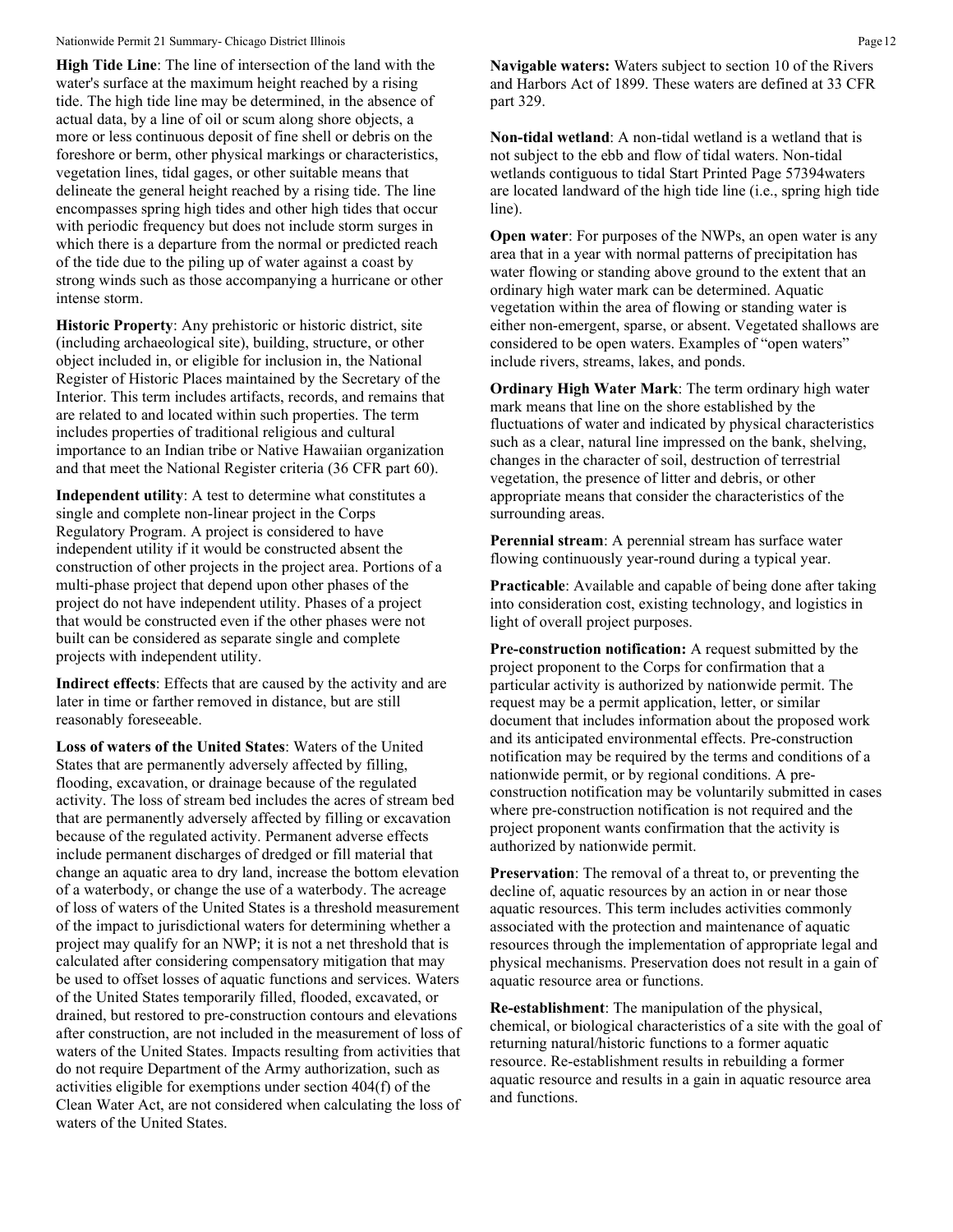**High Tide Line**: The line of intersection of the land with the water's surface at the maximum height reached by a rising tide. The high tide line may be determined, in the absence of actual data, by a line of oil or scum along shore objects, a more or less continuous deposit of fine shell or debris on the foreshore or berm, other physical markings or characteristics, vegetation lines, tidal gages, or other suitable means that delineate the general height reached by a rising tide. The line encompasses spring high tides and other high tides that occur with periodic frequency but does not include storm surges in which there is a departure from the normal or predicted reach of the tide due to the piling up of water against a coast by strong winds such as those accompanying a hurricane or other intense storm.

**Historic Property**: Any prehistoric or historic district, site (including archaeological site), building, structure, or other object included in, or eligible for inclusion in, the National Register of Historic Places maintained by the Secretary of the Interior. This term includes artifacts, records, and remains that are related to and located within such properties. The term includes properties of traditional religious and cultural importance to an Indian tribe or Native Hawaiian organization and that meet the National Register criteria (36 CFR part 60).

**Independent utility**: A test to determine what constitutes a single and complete non-linear project in the Corps Regulatory Program. A project is considered to have independent utility if it would be constructed absent the construction of other projects in the project area. Portions of a multi-phase project that depend upon other phases of the project do not have independent utility. Phases of a project that would be constructed even if the other phases were not built can be considered as separate single and complete projects with independent utility.

**Indirect effects**: Effects that are caused by the activity and are later in time or farther removed in distance, but are still reasonably foreseeable.

**Loss of waters of the United States**: Waters of the United States that are permanently adversely affected by filling, flooding, excavation, or drainage because of the regulated activity. The loss of stream bed includes the acres of stream bed that are permanently adversely affected by filling or excavation because of the regulated activity. Permanent adverse effects include permanent discharges of dredged or fill material that change an aquatic area to dry land, increase the bottom elevation of a waterbody, or change the use of a waterbody. The acreage of loss of waters of the United States is a threshold measurement of the impact to jurisdictional waters for determining whether a project may qualify for an NWP; it is not a net threshold that is calculated after considering compensatory mitigation that may be used to offset losses of aquatic functions and services. Waters of the United States temporarily filled, flooded, excavated, or drained, but restored to pre-construction contours and elevations after construction, are not included in the measurement of loss of waters of the United States. Impacts resulting from activities that do not require Department of the Army authorization, such as activities eligible for exemptions under section 404(f) of the Clean Water Act, are not considered when calculating the loss of waters of the United States.

**Navigable waters:** Waters subject to section 10 of the Rivers and Harbors Act of 1899. These waters are defined at 33 CFR part 329.

**Non-tidal wetland**: A non-tidal wetland is a wetland that is not subject to the ebb and flow of tidal waters. Non-tidal wetlands contiguous to tidal Start Printed Page 57394waters are located landward of the high tide line (i.e., spring high tide line).

**Open water:** For purposes of the NWPs, an open water is any area that in a year with normal patterns of precipitation has water flowing or standing above ground to the extent that an ordinary high water mark can be determined. Aquatic vegetation within the area of flowing or standing water is either non-emergent, sparse, or absent. Vegetated shallows are considered to be open waters. Examples of "open waters" include rivers, streams, lakes, and ponds.

**Ordinary High Water Mark**: The term ordinary high water mark means that line on the shore established by the fluctuations of water and indicated by physical characteristics such as a clear, natural line impressed on the bank, shelving, changes in the character of soil, destruction of terrestrial vegetation, the presence of litter and debris, or other appropriate means that consider the characteristics of the surrounding areas.

**Perennial stream**: A perennial stream has surface water flowing continuously year-round during a typical year.

**Practicable**: Available and capable of being done after taking into consideration cost, existing technology, and logistics in light of overall project purposes.

**Pre-construction notification:** A request submitted by the project proponent to the Corps for confirmation that a particular activity is authorized by nationwide permit. The request may be a permit application, letter, or similar document that includes information about the proposed work and its anticipated environmental effects. Pre-construction notification may be required by the terms and conditions of a nationwide permit, or by regional conditions. A preconstruction notification may be voluntarily submitted in cases where pre-construction notification is not required and the project proponent wants confirmation that the activity is authorized by nationwide permit.

**Preservation**: The removal of a threat to, or preventing the decline of, aquatic resources by an action in or near those aquatic resources. This term includes activities commonly associated with the protection and maintenance of aquatic resources through the implementation of appropriate legal and physical mechanisms. Preservation does not result in a gain of aquatic resource area or functions.

**Re-establishment**: The manipulation of the physical, chemical, or biological characteristics of a site with the goal of returning natural/historic functions to a former aquatic resource. Re-establishment results in rebuilding a former aquatic resource and results in a gain in aquatic resource area and functions.